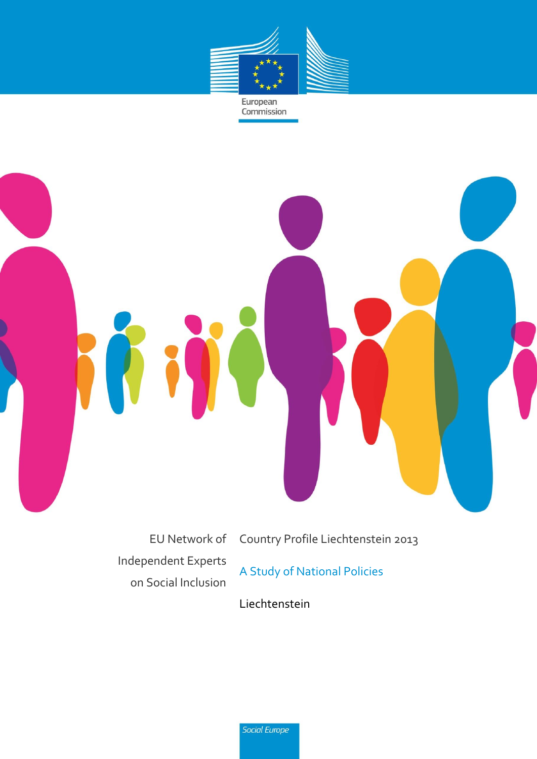

European<br>Commission



EU Network of Independent Experts on Social Inclusion

Country Profile Liechtenstein 2013

A Study of National Policies

Liechtenstein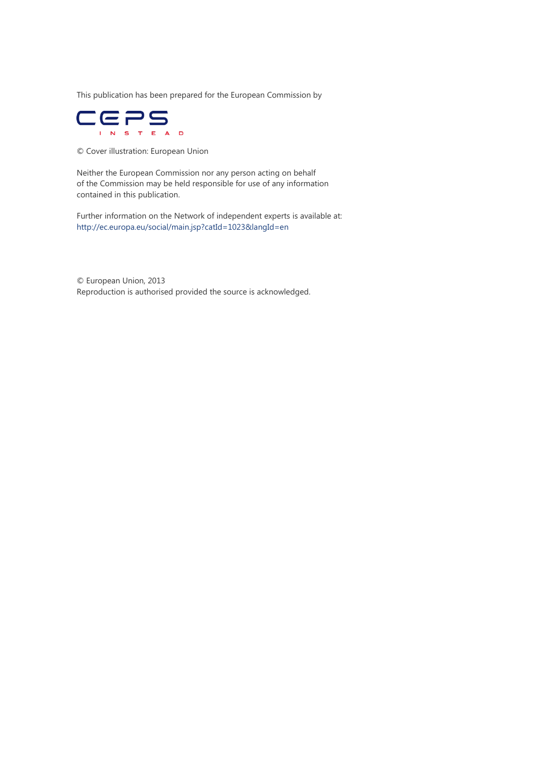This publication has been prepared for the European Commission by



© Cover illustration: European Union

Neither the European Commission nor any person acting on behalf of the Commission may be held responsible for use of any information contained in this publication.

Further information on the Network of independent experts is available at: <http://ec.europa.eu/social/main.jsp?catId=1023&langId=en>

© European Union, 2013 Reproduction is authorised provided the source is acknowledged.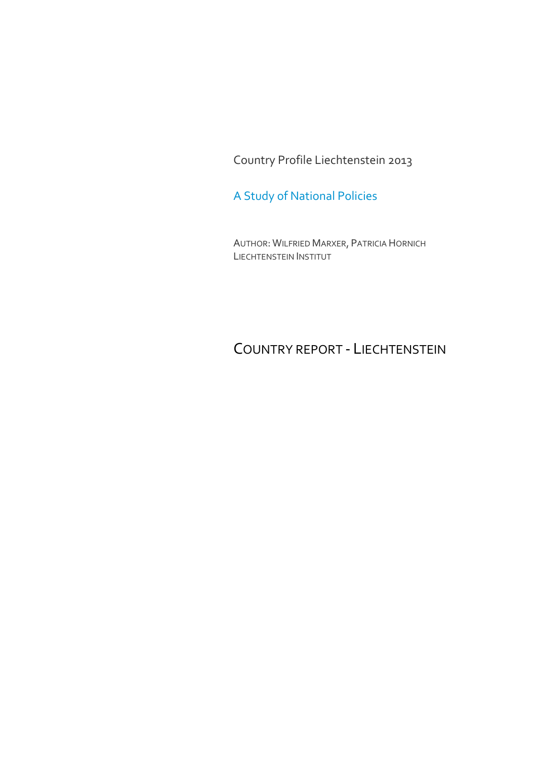Country Profile Liechtenstein 2013

A Study of National Policies

AUTHOR: WILFRIED MARXER, PATRICIA HORNICH LIECHTENSTEIN INSTITUT

COUNTRY REPORT - LIECHTENSTEIN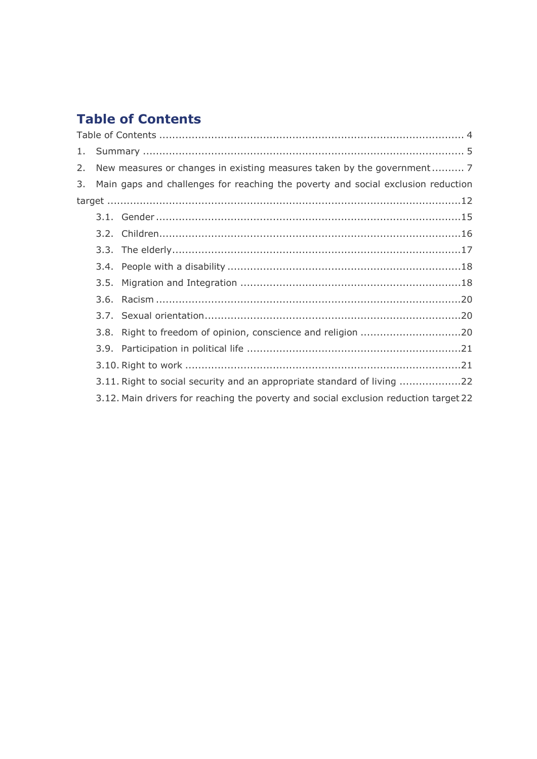# <span id="page-3-0"></span>**Table of Contents**

| 1. |                                                                                      |
|----|--------------------------------------------------------------------------------------|
| 2. | New measures or changes in existing measures taken by the government 7               |
| 3. | Main gaps and challenges for reaching the poverty and social exclusion reduction     |
|    |                                                                                      |
|    |                                                                                      |
|    |                                                                                      |
|    |                                                                                      |
|    |                                                                                      |
|    |                                                                                      |
|    |                                                                                      |
|    |                                                                                      |
|    |                                                                                      |
|    |                                                                                      |
|    |                                                                                      |
|    | 3.11. Right to social security and an appropriate standard of living 22              |
|    | 3.12. Main drivers for reaching the poverty and social exclusion reduction target 22 |
|    |                                                                                      |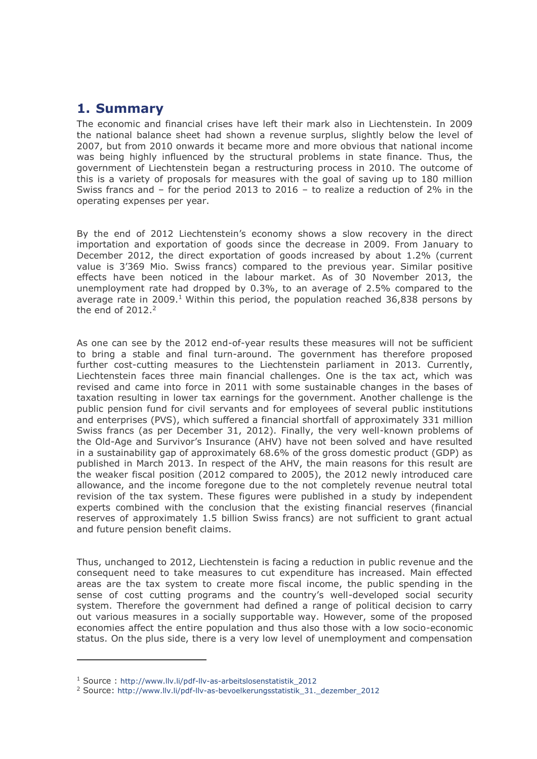# <span id="page-4-0"></span>**1. Summary**

The economic and financial crises have left their mark also in Liechtenstein. In 2009 the national balance sheet had shown a revenue surplus, slightly below the level of 2007, but from 2010 onwards it became more and more obvious that national income was being highly influenced by the structural problems in state finance. Thus, the government of Liechtenstein began a restructuring process in 2010. The outcome of this is a variety of proposals for measures with the goal of saving up to 180 million Swiss francs and – for the period 2013 to 2016 – to realize a reduction of 2% in the operating expenses per year.

By the end of 2012 Liechtenstein's economy shows a slow recovery in the direct importation and exportation of goods since the decrease in 2009. From January to December 2012, the direct exportation of goods increased by about 1.2% (current value is 3'369 Mio. Swiss francs) compared to the previous year. Similar positive effects have been noticed in the labour market. As of 30 November 2013, the unemployment rate had dropped by 0.3%, to an average of 2.5% compared to the average rate in 2009.<sup>1</sup> Within this period, the population reached 36,838 persons by the end of  $2012.<sup>2</sup>$ 

As one can see by the 2012 end-of-year results these measures will not be sufficient to bring a stable and final turn-around. The government has therefore proposed further cost-cutting measures to the Liechtenstein parliament in 2013. Currently, Liechtenstein faces three main financial challenges. One is the tax act, which was revised and came into force in 2011 with some sustainable changes in the bases of taxation resulting in lower tax earnings for the government. Another challenge is the public pension fund for civil servants and for employees of several public institutions and enterprises (PVS), which suffered a financial shortfall of approximately 331 million Swiss francs (as per December 31, 2012). Finally, the very well-known problems of the Old-Age and Survivor's Insurance (AHV) have not been solved and have resulted in a sustainability gap of approximately 68.6% of the gross domestic product (GDP) as published in March 2013. In respect of the AHV, the main reasons for this result are the weaker fiscal position (2012 compared to 2005), the 2012 newly introduced care allowance, and the income foregone due to the not completely revenue neutral total revision of the tax system. These figures were published in a study by independent experts combined with the conclusion that the existing financial reserves (financial reserves of approximately 1.5 billion Swiss francs) are not sufficient to grant actual and future pension benefit claims.

Thus, unchanged to 2012, Liechtenstein is facing a reduction in public revenue and the consequent need to take measures to cut expenditure has increased. Main effected areas are the tax system to create more fiscal income, the public spending in the sense of cost cutting programs and the country's well-developed social security system. Therefore the government had defined a range of political decision to carry out various measures in a socially supportable way. However, some of the proposed economies affect the entire population and thus also those with a low socio-economic status. On the plus side, there is a very low level of unemployment and compensation

-

<sup>1</sup> Source : http://www.llv.li/pdf-llv-as-arbeitslosenstatistik\_2012

<sup>2</sup> Source: http://www.llv.li/pdf-llv-as-bevoelkerungsstatistik\_31.\_dezember\_2012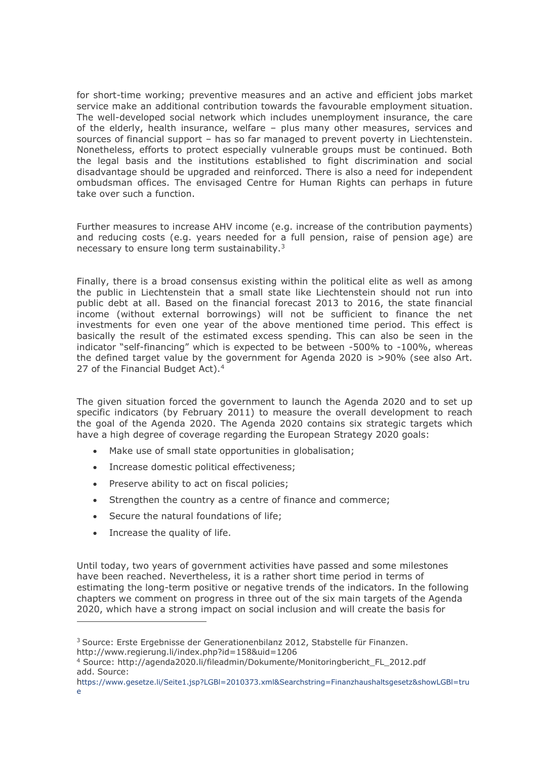for short-time working; preventive measures and an active and efficient jobs market service make an additional contribution towards the favourable employment situation. The well-developed social network which includes unemployment insurance, the care of the elderly, health insurance, welfare – plus many other measures, services and sources of financial support – has so far managed to prevent poverty in Liechtenstein. Nonetheless, efforts to protect especially vulnerable groups must be continued. Both the legal basis and the institutions established to fight discrimination and social disadvantage should be upgraded and reinforced. There is also a need for independent ombudsman offices. The envisaged Centre for Human Rights can perhaps in future take over such a function.

Further measures to increase AHV income (e.g. increase of the contribution payments) and reducing costs (e.g. years needed for a full pension, raise of pension age) are necessary to ensure long term sustainability.<sup>3</sup>

Finally, there is a broad consensus existing within the political elite as well as among the public in Liechtenstein that a small state like Liechtenstein should not run into public debt at all. Based on the financial forecast 2013 to 2016, the state financial income (without external borrowings) will not be sufficient to finance the net investments for even one year of the above mentioned time period. This effect is basically the result of the estimated excess spending. This can also be seen in the indicator "self-financing" which is expected to be between -500% to -100%, whereas the defined target value by the government for Agenda 2020 is >90% (see also Art. 27 of the Financial Budget Act).<sup>4</sup>

The given situation forced the government to launch the Agenda 2020 and to set up specific indicators (by February 2011) to measure the overall development to reach the goal of the Agenda 2020. The Agenda 2020 contains six strategic targets which have a high degree of coverage regarding the European Strategy 2020 goals:

- Make use of small state opportunities in globalisation;
- Increase domestic political effectiveness;
- Preserve ability to act on fiscal policies;
- Strengthen the country as a centre of finance and commerce;
- Secure the natural foundations of life;
- Increase the quality of life.

-

Until today, two years of government activities have passed and some milestones have been reached. Nevertheless, it is a rather short time period in terms of estimating the long-term positive or negative trends of the indicators. In the following chapters we comment on progress in three out of the six main targets of the Agenda 2020, which have a strong impact on social inclusion and will create the basis for

<sup>&</sup>lt;sup>3</sup> Source: Erste Ergebnisse der Generationenbilanz 2012, Stabstelle für Finanzen. <http://www.regierung.li/index.php?id=158&uid=1206>

<sup>4</sup> Source: http://agenda2020.li/fileadmin/Dokumente/Monitoringbericht\_FL\_2012.pdf add. Source:

https://www.gesetze.li/Seite1.jsp?LGBl=2010373.xml&Searchstring=Finanzhaushaltsgesetz&showLGBl=tru e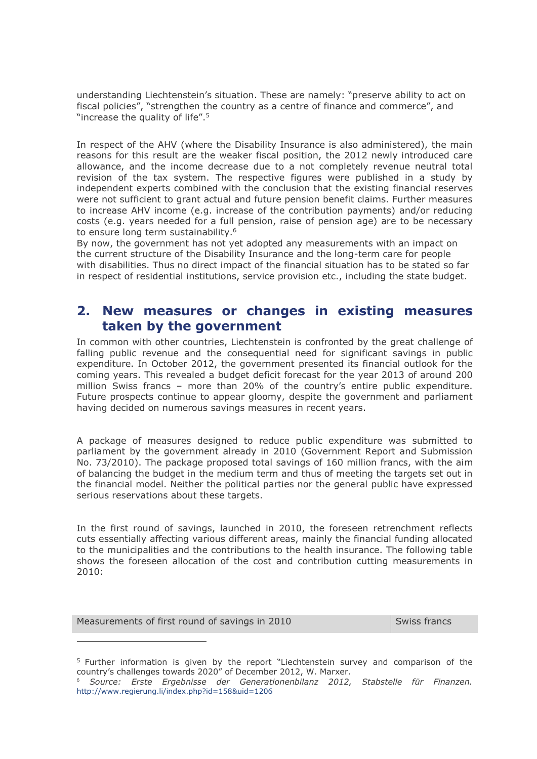understanding Liechtenstein's situation. These are namely: "preserve ability to act on fiscal policies", "strengthen the country as a centre of finance and commerce", and "increase the quality of life".<sup>5</sup>

In respect of the AHV (where the Disability Insurance is also administered), the main reasons for this result are the weaker fiscal position, the 2012 newly introduced care allowance, and the income decrease due to a not completely revenue neutral total revision of the tax system. The respective figures were published in a study by independent experts combined with the conclusion that the existing financial reserves were not sufficient to grant actual and future pension benefit claims. Further measures to increase AHV income (e.g. increase of the contribution payments) and/or reducing costs (e.g. years needed for a full pension, raise of pension age) are to be necessary to ensure long term sustainability.<sup>6</sup>

By now, the government has not yet adopted any measurements with an impact on the current structure of the Disability Insurance and the long-term care for people with disabilities. Thus no direct impact of the financial situation has to be stated so far in respect of residential institutions, service provision etc., including the state budget.

# <span id="page-6-0"></span>**2. New measures or changes in existing measures taken by the government**

In common with other countries, Liechtenstein is confronted by the great challenge of falling public revenue and the consequential need for significant savings in public expenditure. In October 2012, the government presented its financial outlook for the coming years. This revealed a budget deficit forecast for the year 2013 of around 200 million Swiss francs – more than 20% of the country's entire public expenditure. Future prospects continue to appear gloomy, despite the government and parliament having decided on numerous savings measures in recent years.

A package of measures designed to reduce public expenditure was submitted to parliament by the government already in 2010 (Government Report and Submission No. 73/2010). The package proposed total savings of 160 million francs, with the aim of balancing the budget in the medium term and thus of meeting the targets set out in the financial model. Neither the political parties nor the general public have expressed serious reservations about these targets.

In the first round of savings, launched in 2010, the foreseen retrenchment reflects cuts essentially affecting various different areas, mainly the financial funding allocated to the municipalities and the contributions to the health insurance. The following table shows the foreseen allocation of the cost and contribution cutting measurements in 2010:

Measurements of first round of savings in 2010 Swiss francs

 $\overline{a}$ 

<sup>5</sup> Further information is given by the report "Liechtenstein survey and comparison of the country's challenges towards 2020" of December 2012, W. Marxer.

<sup>6</sup> *Source: Erste Ergebnisse der Generationenbilanz 2012, Stabstelle für Finanzen.*  <http://www.regierung.li/index.php?id=158&uid=1206>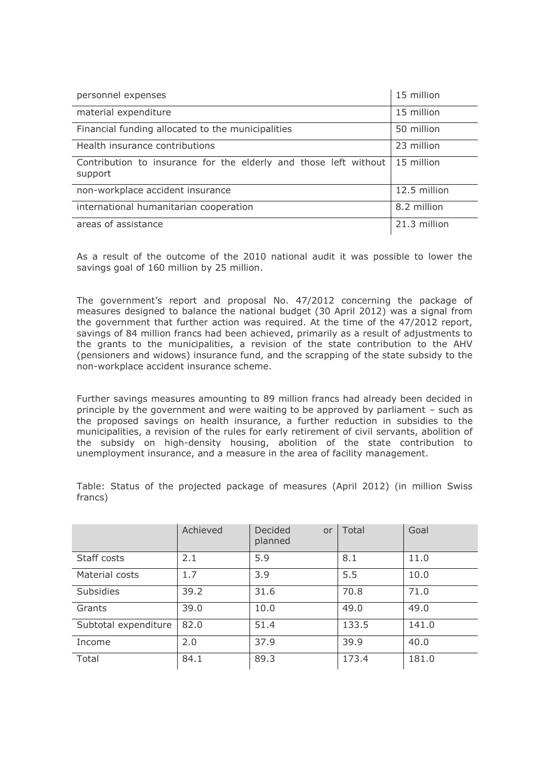| personnel expenses                                                                       | 15 million   |
|------------------------------------------------------------------------------------------|--------------|
| material expenditure                                                                     | 15 million   |
| Financial funding allocated to the municipalities                                        | 50 million   |
| Health insurance contributions                                                           | 23 million   |
| Contribution to insurance for the elderly and those left without   15 million<br>support |              |
| non-workplace accident insurance                                                         | 12.5 million |
| international humanitarian cooperation                                                   | 8.2 million  |
| areas of assistance                                                                      | 21.3 million |

As a result of the outcome of the 2010 national audit it was possible to lower the savings goal of 160 million by 25 million.

The government's report and proposal No. 47/2012 concerning the package of measures designed to balance the national budget (30 April 2012) was a signal from the government that further action was required. At the time of the 47/2012 report, savings of 84 million francs had been achieved, primarily as a result of adjustments to the grants to the municipalities, a revision of the state contribution to the AHV (pensioners and widows) insurance fund, and the scrapping of the state subsidy to the non-workplace accident insurance scheme.

Further savings measures amounting to 89 million francs had already been decided in principle by the government and were waiting to be approved by parliament – such as the proposed savings on health insurance, a further reduction in subsidies to the municipalities, a revision of the rules for early retirement of civil servants, abolition of the subsidy on high-density housing, abolition of the state contribution to unemployment insurance, and a measure in the area of facility management.

Achieved Decided or planned Total Goal Staff costs 2.1 5.9 8.1 11.0 Material costs  $\begin{array}{ccc} 1.7 & 3.9 & 5.5 & 10.0 \end{array}$ Subsidies 139.2 31.6 70.8 71.0 Grants 39.0 10.0 49.0 49.0 Subtotal expenditure 82.0 151.4 133.5 141.0 Income 2.0 37.9 39.9 40.0 Total 84.1 89.3 173.4 181.0

Table: Status of the projected package of measures (April 2012) (in million Swiss francs)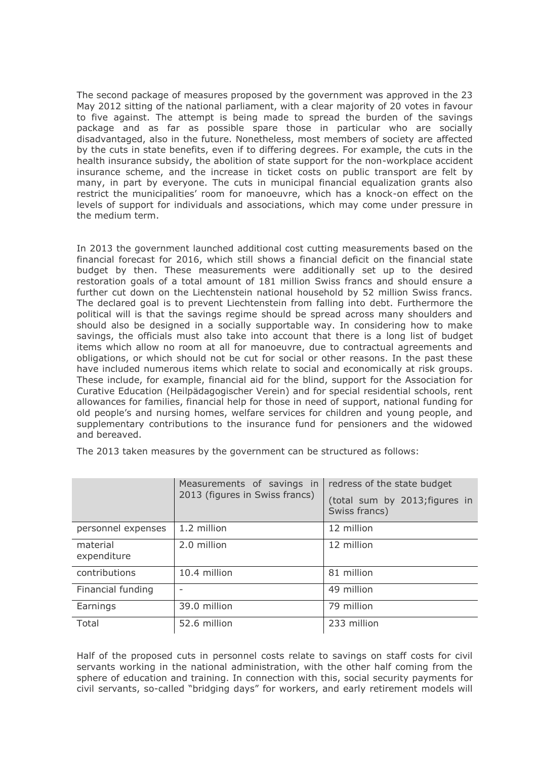The second package of measures proposed by the government was approved in the 23 May 2012 sitting of the national parliament, with a clear majority of 20 votes in favour to five against. The attempt is being made to spread the burden of the savings package and as far as possible spare those in particular who are socially disadvantaged, also in the future. Nonetheless, most members of society are affected by the cuts in state benefits, even if to differing degrees. For example, the cuts in the health insurance subsidy, the abolition of state support for the non-workplace accident insurance scheme, and the increase in ticket costs on public transport are felt by many, in part by everyone. The cuts in municipal financial equalization grants also restrict the municipalities' room for manoeuvre, which has a knock-on effect on the levels of support for individuals and associations, which may come under pressure in the medium term.

In 2013 the government launched additional cost cutting measurements based on the financial forecast for 2016, which still shows a financial deficit on the financial state budget by then. These measurements were additionally set up to the desired restoration goals of a total amount of 181 million Swiss francs and should ensure a further cut down on the Liechtenstein national household by 52 million Swiss francs. The declared goal is to prevent Liechtenstein from falling into debt. Furthermore the political will is that the savings regime should be spread across many shoulders and should also be designed in a socially supportable way. In considering how to make savings, the officials must also take into account that there is a long list of budget items which allow no room at all for manoeuvre, due to contractual agreements and obligations, or which should not be cut for social or other reasons. In the past these have included numerous items which relate to social and economically at risk groups. These include, for example, financial aid for the blind, support for the Association for Curative Education (Heilpädagogischer Verein) and for special residential schools, rent allowances for families, financial help for those in need of support, national funding for old people's and nursing homes, welfare services for children and young people, and supplementary contributions to the insurance fund for pensioners and the widowed and bereaved.

|                         | Measurements of savings in<br>2013 (figures in Swiss francs) | redress of the state budget<br>(total sum by 2013; figures in<br>Swiss francs) |
|-------------------------|--------------------------------------------------------------|--------------------------------------------------------------------------------|
| personnel expenses      | 1.2 million                                                  | 12 million                                                                     |
| material<br>expenditure | 2.0 million                                                  | 12 million                                                                     |
| contributions           | 10.4 million                                                 | 81 million                                                                     |
| Financial funding       |                                                              | 49 million                                                                     |
| Earnings                | 39.0 million                                                 | 79 million                                                                     |
| Total                   | 52.6 million                                                 | 233 million                                                                    |

The 2013 taken measures by the government can be structured as follows:

Half of the proposed cuts in personnel costs relate to savings on staff costs for civil servants working in the national administration, with the other half coming from the sphere of education and training. In connection with this, social security payments for civil servants, so-called "bridging days" for workers, and early retirement models will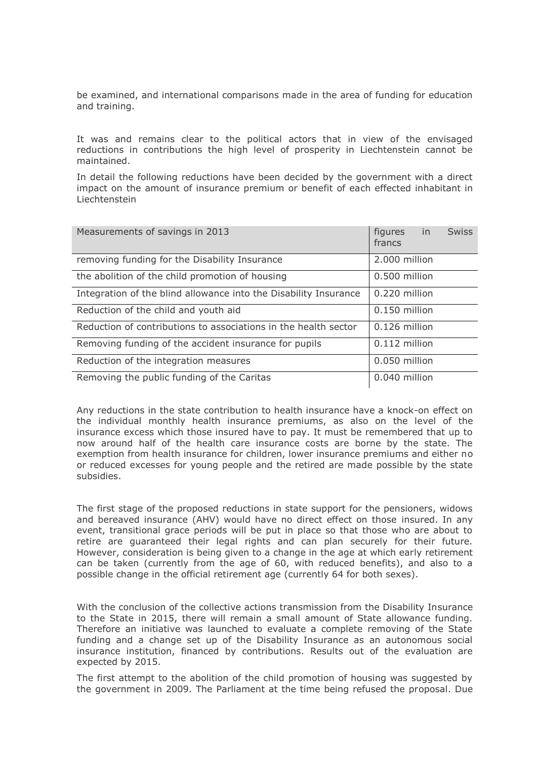be examined, and international comparisons made in the area of funding for education and training.

It was and remains clear to the political actors that in view of the envisaged reductions in contributions the high level of prosperity in Liechtenstein cannot be maintained.

In detail the following reductions have been decided by the government with a direct impact on the amount of insurance premium or benefit of each effected inhabitant in Liechtenstein

| Measurements of savings in 2013                                  | figures<br>francs | in | <b>Swiss</b> |
|------------------------------------------------------------------|-------------------|----|--------------|
| removing funding for the Disability Insurance                    | 2.000 million     |    |              |
| the abolition of the child promotion of housing                  | 0.500 million     |    |              |
| Integration of the blind allowance into the Disability Insurance | 0.220 million     |    |              |
| Reduction of the child and youth aid                             | 0.150 million     |    |              |
| Reduction of contributions to associations in the health sector  | 0.126 million     |    |              |
| Removing funding of the accident insurance for pupils            | 0.112 million     |    |              |
| Reduction of the integration measures                            | 0.050 million     |    |              |
| Removing the public funding of the Caritas                       | 0.040 million     |    |              |

Any reductions in the state contribution to health insurance have a knock-on effect on the individual monthly health insurance premiums, as also on the level of the insurance excess which those insured have to pay. It must be remembered that up to now around half of the health care insurance costs are borne by the state. The exemption from health insurance for children, lower insurance premiums and either no or reduced excesses for young people and the retired are made possible by the state subsidies.

The first stage of the proposed reductions in state support for the pensioners, widows and bereaved insurance (AHV) would have no direct effect on those insured. In any event, transitional grace periods will be put in place so that those who are about to retire are guaranteed their legal rights and can plan securely for their future. However, consideration is being given to a change in the age at which early retirement can be taken (currently from the age of 60, with reduced benefits), and also to a possible change in the official retirement age (currently 64 for both sexes).

With the conclusion of the collective actions transmission from the Disability Insurance to the State in 2015, there will remain a small amount of State allowance funding. Therefore an initiative was launched to evaluate a complete removing of the State funding and a change set up of the Disability Insurance as an autonomous social insurance institution, financed by contributions. Results out of the evaluation are expected by 2015.

The first attempt to the abolition of the child promotion of housing was suggested by the government in 2009. The Parliament at the time being refused the proposal. Due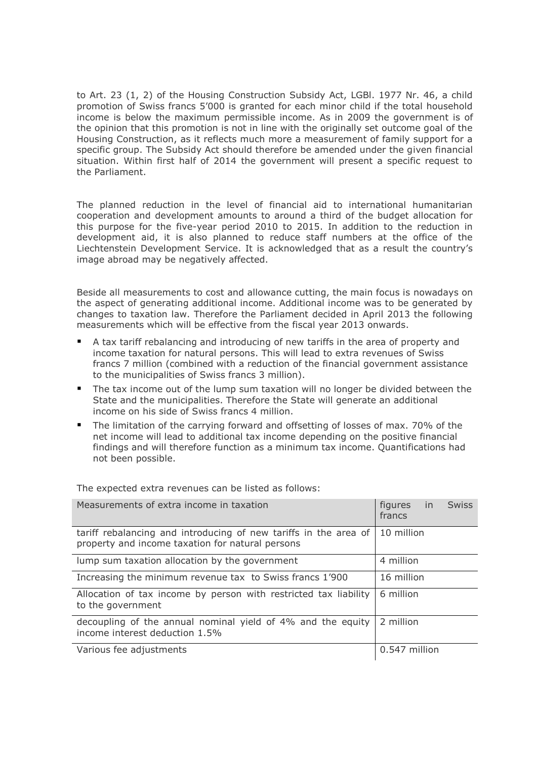to Art. 23 (1, 2) of the Housing Construction Subsidy Act, LGBl. 1977 Nr. 46, a child promotion of Swiss francs 5'000 is granted for each minor child if the total household income is below the maximum permissible income. As in 2009 the government is of the opinion that this promotion is not in line with the originally set outcome goal of the Housing Construction, as it reflects much more a measurement of family support for a specific group. The Subsidy Act should therefore be amended under the given financial situation. Within first half of 2014 the government will present a specific request to the Parliament.

The planned reduction in the level of financial aid to international humanitarian cooperation and development amounts to around a third of the budget allocation for this purpose for the five-year period 2010 to 2015. In addition to the reduction in development aid, it is also planned to reduce staff numbers at the office of the Liechtenstein Development Service. It is acknowledged that as a result the country's image abroad may be negatively affected.

Beside all measurements to cost and allowance cutting, the main focus is nowadays on the aspect of generating additional income. Additional income was to be generated by changes to taxation law. Therefore the Parliament decided in April 2013 the following measurements which will be effective from the fiscal year 2013 onwards.

- A tax tariff rebalancing and introducing of new tariffs in the area of property and income taxation for natural persons. This will lead to extra revenues of Swiss francs 7 million (combined with a reduction of the financial government assistance to the municipalities of Swiss francs 3 million).
- The tax income out of the lump sum taxation will no longer be divided between the State and the municipalities. Therefore the State will generate an additional income on his side of Swiss francs 4 million.
- The limitation of the carrying forward and offsetting of losses of max. 70% of the net income will lead to additional tax income depending on the positive financial findings and will therefore function as a minimum tax income. Quantifications had not been possible.

Measurements of extra income in taxation **figures** in Swiss francs tariff rebalancing and introducing of new tariffs in the area of property and income taxation for natural persons 10 million lump sum taxation allocation by the government 4 million Increasing the minimum revenue tax to Swiss francs  $1'900$  | 16 million Allocation of tax income by person with restricted tax liability to the government 6 million decoupling of the annual nominal yield of 4% and the equity income interest deduction 1.5% 2 million Various fee adjustments and the control of the control of the control of the control of the control of the control of the control of the control of the control of the control of the control of the control of the control of

The expected extra revenues can be listed as follows: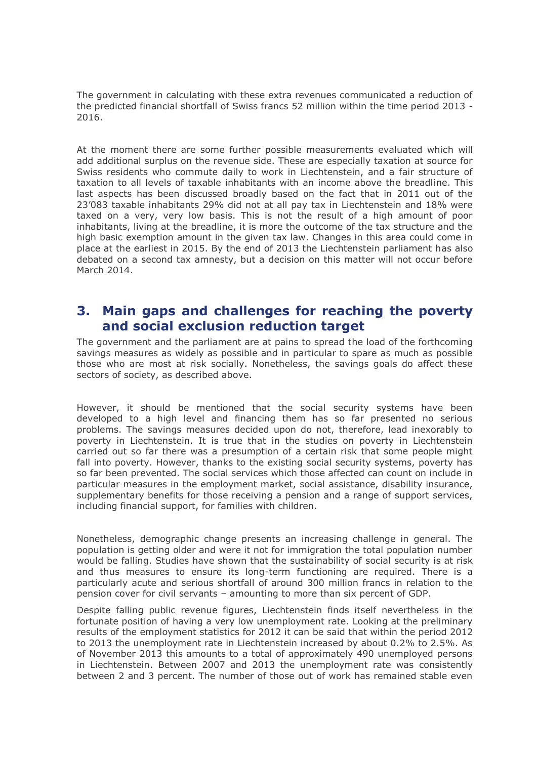The government in calculating with these extra revenues communicated a reduction of the predicted financial shortfall of Swiss francs 52 million within the time period 2013 - 2016.

At the moment there are some further possible measurements evaluated which will add additional surplus on the revenue side. These are especially taxation at source for Swiss residents who commute daily to work in Liechtenstein, and a fair structure of taxation to all levels of taxable inhabitants with an income above the breadline. This last aspects has been discussed broadly based on the fact that in 2011 out of the 23'083 taxable inhabitants 29% did not at all pay tax in Liechtenstein and 18% were taxed on a very, very low basis. This is not the result of a high amount of poor inhabitants, living at the breadline, it is more the outcome of the tax structure and the high basic exemption amount in the given tax law. Changes in this area could come in place at the earliest in 2015. By the end of 2013 the Liechtenstein parliament has also debated on a second tax amnesty, but a decision on this matter will not occur before March 2014.

# <span id="page-11-0"></span>**3. Main gaps and challenges for reaching the poverty and social exclusion reduction target**

The government and the parliament are at pains to spread the load of the forthcoming savings measures as widely as possible and in particular to spare as much as possible those who are most at risk socially. Nonetheless, the savings goals do affect these sectors of society, as described above.

However, it should be mentioned that the social security systems have been developed to a high level and financing them has so far presented no serious problems. The savings measures decided upon do not, therefore, lead inexorably to poverty in Liechtenstein. It is true that in the studies on poverty in Liechtenstein carried out so far there was a presumption of a certain risk that some people might fall into poverty. However, thanks to the existing social security systems, poverty has so far been prevented. The social services which those affected can count on include in particular measures in the employment market, social assistance, disability insurance, supplementary benefits for those receiving a pension and a range of support services, including financial support, for families with children.

Nonetheless, demographic change presents an increasing challenge in general. The population is getting older and were it not for immigration the total population number would be falling. Studies have shown that the sustainability of social security is at risk and thus measures to ensure its long-term functioning are required. There is a particularly acute and serious shortfall of around 300 million francs in relation to the pension cover for civil servants – amounting to more than six percent of GDP.

Despite falling public revenue figures, Liechtenstein finds itself nevertheless in the fortunate position of having a very low unemployment rate. Looking at the preliminary results of the employment statistics for 2012 it can be said that within the period 2012 to 2013 the unemployment rate in Liechtenstein increased by about 0.2% to 2.5%. As of November 2013 this amounts to a total of approximately 490 unemployed persons in Liechtenstein. Between 2007 and 2013 the unemployment rate was consistently between 2 and 3 percent. The number of those out of work has remained stable even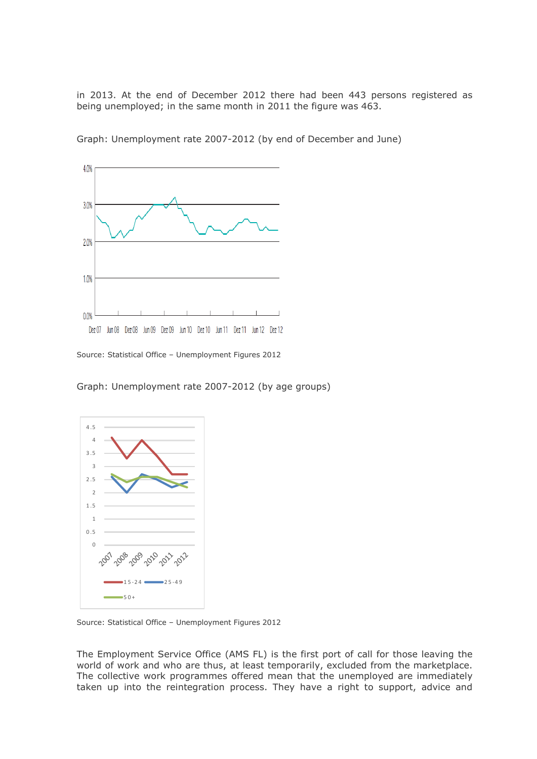in 2013. At the end of December 2012 there had been 443 persons registered as being unemployed; in the same month in 2011 the figure was 463.



Graph: Unemployment rate 2007-2012 (by end of December and June)

Source: Statistical Office – Unemployment Figures 2012

Graph: Unemployment rate 2007-2012 (by age groups)



Source: Statistical Office – Unemployment Figures 2012

The Employment Service Office (AMS FL) is the first port of call for those leaving the world of work and who are thus, at least temporarily, excluded from the marketplace. The collective work programmes offered mean that the unemployed are immediately taken up into the reintegration process. They have a right to support, advice and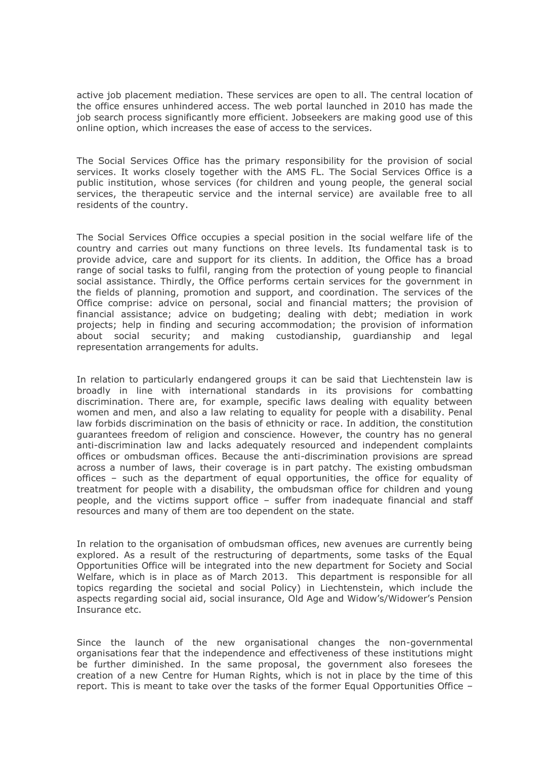active job placement mediation. These services are open to all. The central location of the office ensures unhindered access. The web portal launched in 2010 has made the job search process significantly more efficient. Jobseekers are making good use of this online option, which increases the ease of access to the services.

The Social Services Office has the primary responsibility for the provision of social services. It works closely together with the AMS FL. The Social Services Office is a public institution, whose services (for children and young people, the general social services, the therapeutic service and the internal service) are available free to all residents of the country.

The Social Services Office occupies a special position in the social welfare life of the country and carries out many functions on three levels. Its fundamental task is to provide advice, care and support for its clients. In addition, the Office has a broad range of social tasks to fulfil, ranging from the protection of young people to financial social assistance. Thirdly, the Office performs certain services for the government in the fields of planning, promotion and support, and coordination. The services of the Office comprise: advice on personal, social and financial matters; the provision of financial assistance; advice on budgeting; dealing with debt; mediation in work projects; help in finding and securing accommodation; the provision of information about social security; and making custodianship, guardianship and legal representation arrangements for adults.

In relation to particularly endangered groups it can be said that Liechtenstein law is broadly in line with international standards in its provisions for combatting discrimination. There are, for example, specific laws dealing with equality between women and men, and also a law relating to equality for people with a disability. Penal law forbids discrimination on the basis of ethnicity or race. In addition, the constitution guarantees freedom of religion and conscience. However, the country has no general anti-discrimination law and lacks adequately resourced and independent complaints offices or ombudsman offices. Because the anti-discrimination provisions are spread across a number of laws, their coverage is in part patchy. The existing ombudsman offices – such as the department of equal opportunities, the office for equality of treatment for people with a disability, the ombudsman office for children and young people, and the victims support office – suffer from inadequate financial and staff resources and many of them are too dependent on the state.

In relation to the organisation of ombudsman offices, new avenues are currently being explored. As a result of the restructuring of departments, some tasks of the Equal Opportunities Office will be integrated into the new department for Society and Social Welfare, which is in place as of March 2013. This department is responsible for all topics regarding the societal and social Policy) in Liechtenstein, which include the aspects regarding social aid, social insurance, Old Age and Widow's/Widower's Pension Insurance etc.

Since the launch of the new organisational changes the non-governmental organisations fear that the independence and effectiveness of these institutions might be further diminished. In the same proposal, the government also foresees the creation of a new Centre for Human Rights, which is not in place by the time of this report. This is meant to take over the tasks of the former Equal Opportunities Office –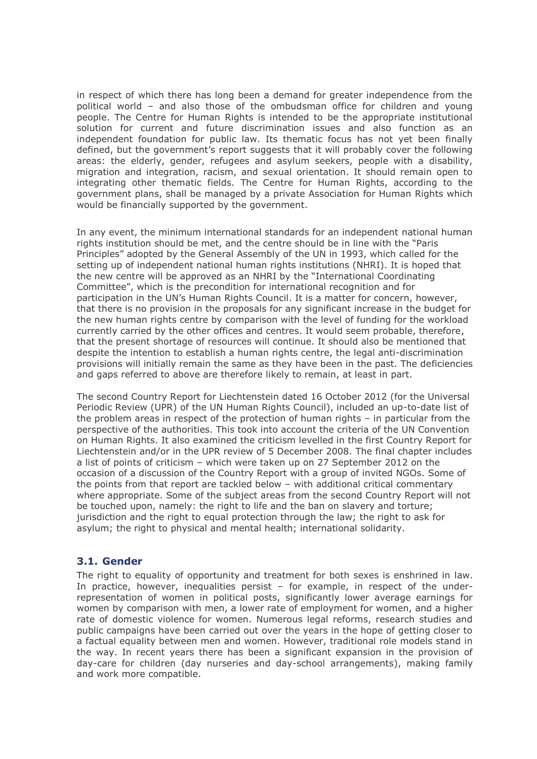in respect of which there has long been a demand for greater independence from the political world – and also those of the ombudsman office for children and young people. The Centre for Human Rights is intended to be the appropriate institutional solution for current and future discrimination issues and also function as an independent foundation for public law. Its thematic focus has not yet been finally defined, but the government's report suggests that it will probably cover the following areas: the elderly, gender, refugees and asylum seekers, people with a disability, migration and integration, racism, and sexual orientation. It should remain open to integrating other thematic fields. The Centre for Human Rights, according to the government plans, shall be managed by a private Association for Human Rights which would be financially supported by the government.

In any event, the minimum international standards for an independent national human rights institution should be met, and the centre should be in line with the "Paris Principles" adopted by the General Assembly of the UN in 1993, which called for the setting up of independent national human rights institutions (NHRI). It is hoped that the new centre will be approved as an NHRI by the "International Coordinating Committee", which is the precondition for international recognition and for participation in the UN's Human Rights Council. It is a matter for concern, however, that there is no provision in the proposals for any significant increase in the budget for the new human rights centre by comparison with the level of funding for the workload currently carried by the other offices and centres. It would seem probable, therefore, that the present shortage of resources will continue. It should also be mentioned that despite the intention to establish a human rights centre, the legal anti-discrimination provisions will initially remain the same as they have been in the past. The deficiencies and gaps referred to above are therefore likely to remain, at least in part.

The second Country Report for Liechtenstein dated 16 October 2012 (for the Universal Periodic Review (UPR) of the UN Human Rights Council), included an up-to-date list of the problem areas in respect of the protection of human rights – in particular from the perspective of the authorities. This took into account the criteria of the UN Convention on Human Rights. It also examined the criticism levelled in the first Country Report for Liechtenstein and/or in the UPR review of 5 December 2008. The final chapter includes a list of points of criticism – which were taken up on 27 September 2012 on the occasion of a discussion of the Country Report with a group of invited NGOs. Some of the points from that report are tackled below – with additional critical commentary where appropriate. Some of the subject areas from the second Country Report will not be touched upon, namely: the right to life and the ban on slavery and torture; jurisdiction and the right to equal protection through the law; the right to ask for asylum; the right to physical and mental health; international solidarity.

### <span id="page-14-0"></span>**3.1. Gender**

The right to equality of opportunity and treatment for both sexes is enshrined in law. In practice, however, inequalities persist – for example, in respect of the underrepresentation of women in political posts, significantly lower average earnings for women by comparison with men, a lower rate of employment for women, and a higher rate of domestic violence for women. Numerous legal reforms, research studies and public campaigns have been carried out over the years in the hope of getting closer to a factual equality between men and women. However, traditional role models stand in the way. In recent years there has been a significant expansion in the provision of day-care for children (day nurseries and day-school arrangements), making family and work more compatible.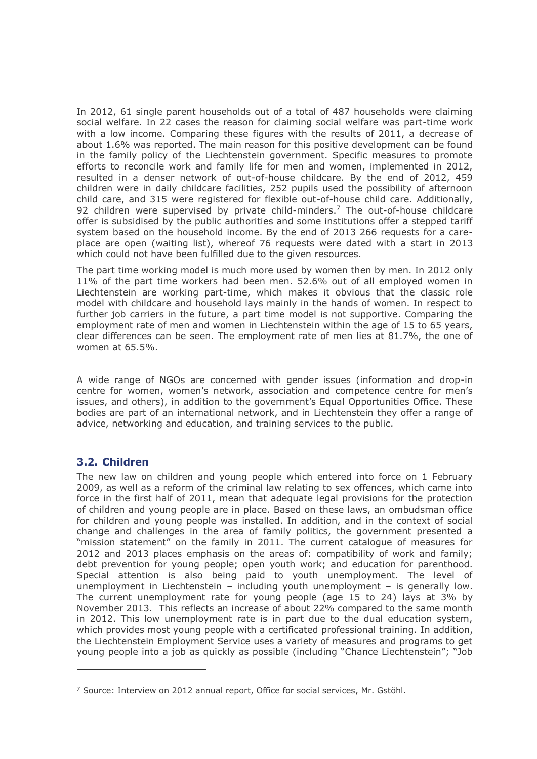In 2012, 61 single parent households out of a total of 487 households were claiming social welfare. In 22 cases the reason for claiming social welfare was part-time work with a low income. Comparing these figures with the results of 2011, a decrease of about 1.6% was reported. The main reason for this positive development can be found in the family policy of the Liechtenstein government. Specific measures to promote efforts to reconcile work and family life for men and women, implemented in 2012, resulted in a denser network of out-of-house childcare. By the end of 2012, 459 children were in daily childcare facilities, 252 pupils used the possibility of afternoon child care, and 315 were registered for flexible out-of-house child care. Additionally, 92 children were supervised by private child-minders.<sup>7</sup> The out-of-house childcare offer is subsidised by the public authorities and some institutions offer a stepped tariff system based on the household income. By the end of 2013 266 requests for a careplace are open (waiting list), whereof 76 requests were dated with a start in 2013 which could not have been fulfilled due to the given resources.

The part time working model is much more used by women then by men. In 2012 only 11% of the part time workers had been men. 52.6% out of all employed women in Liechtenstein are working part-time, which makes it obvious that the classic role model with childcare and household lays mainly in the hands of women. In respect to further job carriers in the future, a part time model is not supportive. Comparing the employment rate of men and women in Liechtenstein within the age of 15 to 65 years, clear differences can be seen. The employment rate of men lies at 81.7%, the one of women at 65.5%.

A wide range of NGOs are concerned with gender issues (information and drop-in centre for women, women's network, association and competence centre for men's issues, and others), in addition to the government's Equal Opportunities Office. These bodies are part of an international network, and in Liechtenstein they offer a range of advice, networking and education, and training services to the public.

### <span id="page-15-0"></span>**3.2. Children**

-

The new law on children and young people which entered into force on 1 February 2009, as well as a reform of the criminal law relating to sex offences, which came into force in the first half of 2011, mean that adequate legal provisions for the protection of children and young people are in place. Based on these laws, an ombudsman office for children and young people was installed. In addition, and in the context of social change and challenges in the area of family politics, the government presented a "mission statement" on the family in 2011. The current catalogue of measures for 2012 and 2013 places emphasis on the areas of: compatibility of work and family; debt prevention for young people; open youth work; and education for parenthood. Special attention is also being paid to youth unemployment. The level of unemployment in Liechtenstein – including youth unemployment – is generally low. The current unemployment rate for young people (age 15 to 24) lays at 3% by November 2013. This reflects an increase of about 22% compared to the same month in 2012. This low unemployment rate is in part due to the dual education system, which provides most young people with a certificated professional training. In addition, the Liechtenstein Employment Service uses a variety of measures and programs to get young people into a job as quickly as possible (including "Chance Liechtenstein"; "Job

 $7$  Source: Interview on 2012 annual report, Office for social services, Mr. Gstöhl.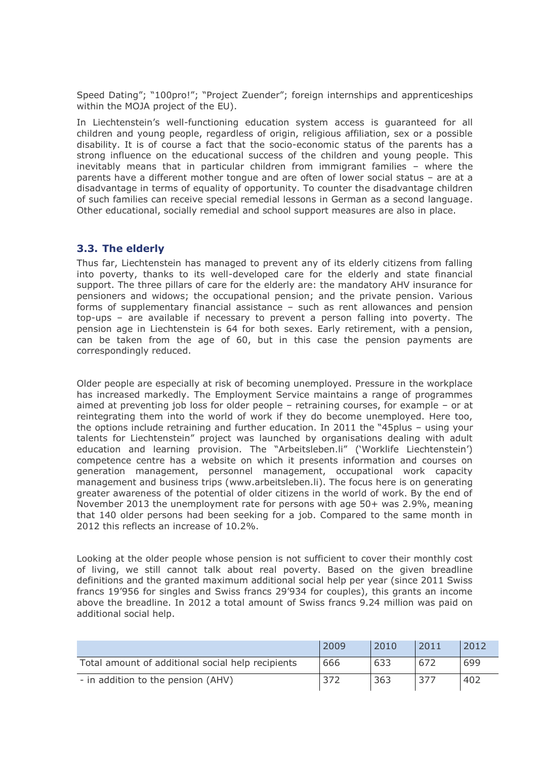Speed Dating"; "100pro!"; "Project Zuender"; foreign internships and apprenticeships within the MOJA project of the EU).

In Liechtenstein's well-functioning education system access is guaranteed for all children and young people, regardless of origin, religious affiliation, sex or a possible disability. It is of course a fact that the socio-economic status of the parents has a strong influence on the educational success of the children and young people. This inevitably means that in particular children from immigrant families – where the parents have a different mother tongue and are often of lower social status – are at a disadvantage in terms of equality of opportunity. To counter the disadvantage children of such families can receive special remedial lessons in German as a second language. Other educational, socially remedial and school support measures are also in place.

# <span id="page-16-0"></span>**3.3. The elderly**

Thus far, Liechtenstein has managed to prevent any of its elderly citizens from falling into poverty, thanks to its well-developed care for the elderly and state financial support. The three pillars of care for the elderly are: the mandatory AHV insurance for pensioners and widows; the occupational pension; and the private pension. Various forms of supplementary financial assistance – such as rent allowances and pension top-ups – are available if necessary to prevent a person falling into poverty. The pension age in Liechtenstein is 64 for both sexes. Early retirement, with a pension, can be taken from the age of 60, but in this case the pension payments are correspondingly reduced.

Older people are especially at risk of becoming unemployed. Pressure in the workplace has increased markedly. The Employment Service maintains a range of programmes aimed at preventing job loss for older people – retraining courses, for example – or at reintegrating them into the world of work if they do become unemployed. Here too, the options include retraining and further education. In 2011 the "45plus – using your talents for Liechtenstein" project was launched by organisations dealing with adult education and learning provision. The "Arbeitsleben.li" ('Worklife Liechtenstein') competence centre has a website on which it presents information and courses on generation management, personnel management, occupational work capacity management and business trips [\(www.arbeitsleben.li\)](http://www.arbeitsleben.li/). The focus here is on generating greater awareness of the potential of older citizens in the world of work. By the end of November 2013 the unemployment rate for persons with age 50+ was 2.9%, meaning that 140 older persons had been seeking for a job. Compared to the same month in 2012 this reflects an increase of 10.2%.

Looking at the older people whose pension is not sufficient to cover their monthly cost of living, we still cannot talk about real poverty. Based on the given breadline definitions and the granted maximum additional social help per year (since 2011 Swiss francs 19'956 for singles and Swiss francs 29'934 for couples), this grants an income above the breadline. In 2012 a total amount of Swiss francs 9.24 million was paid on additional social help.

|                                                   | 2009 | 2010 | 2011 | 2012 |
|---------------------------------------------------|------|------|------|------|
| Total amount of additional social help recipients | 666  | 633  | 672  | 699  |
| - in addition to the pension (AHV)                | 372  | 363  | 377  | 402  |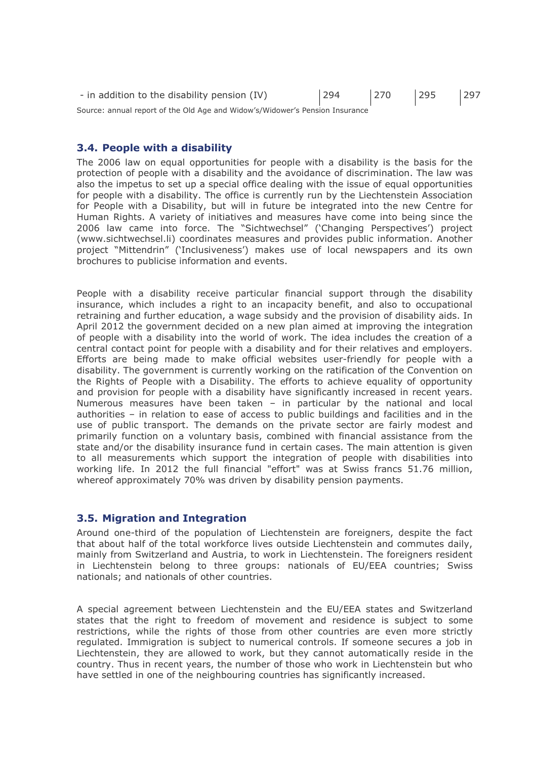| - in addition to the disability pension (IV)                                 | 294 | 270 | 295 | 297 |
|------------------------------------------------------------------------------|-----|-----|-----|-----|
| Source: annual report of the Old Age and Widow's/Widower's Pension Insurance |     |     |     |     |

#### <span id="page-17-0"></span>**3.4. People with a disability**

The 2006 law on equal opportunities for people with a disability is the basis for the protection of people with a disability and the avoidance of discrimination. The law was also the impetus to set up a special office dealing with the issue of equal opportunities for people with a disability. The office is currently run by the Liechtenstein Association for People with a Disability, but will in future be integrated into the new Centre for Human Rights. A variety of initiatives and measures have come into being since the 2006 law came into force. The "Sichtwechsel" ('Changing Perspectives') project [\(www.sichtwechsel.li\)](http://www.sichtwechsel.li/) coordinates measures and provides public information. Another project "Mittendrin" ('Inclusiveness') makes use of local newspapers and its own brochures to publicise information and events.

People with a disability receive particular financial support through the disability insurance, which includes a right to an incapacity benefit, and also to occupational retraining and further education, a wage subsidy and the provision of disability aids. In April 2012 the government decided on a new plan aimed at improving the integration of people with a disability into the world of work. The idea includes the creation of a central contact point for people with a disability and for their relatives and employers. Efforts are being made to make official websites user-friendly for people with a disability. The government is currently working on the ratification of the Convention on the Rights of People with a Disability. The efforts to achieve equality of opportunity and provision for people with a disability have significantly increased in recent years. Numerous measures have been taken – in particular by the national and local authorities – in relation to ease of access to public buildings and facilities and in the use of public transport. The demands on the private sector are fairly modest and primarily function on a voluntary basis, combined with financial assistance from the state and/or the disability insurance fund in certain cases. The main attention is given to all measurements which support the integration of people with disabilities into working life. In 2012 the full financial "effort" was at Swiss francs 51.76 million, whereof approximately 70% was driven by disability pension payments.

#### <span id="page-17-1"></span>**3.5. Migration and Integration**

Around one-third of the population of Liechtenstein are foreigners, despite the fact that about half of the total workforce lives outside Liechtenstein and commutes daily, mainly from Switzerland and Austria, to work in Liechtenstein. The foreigners resident in Liechtenstein belong to three groups: nationals of EU/EEA countries; Swiss nationals; and nationals of other countries.

A special agreement between Liechtenstein and the EU/EEA states and Switzerland states that the right to freedom of movement and residence is subject to some restrictions, while the rights of those from other countries are even more strictly regulated. Immigration is subject to numerical controls. If someone secures a job in Liechtenstein, they are allowed to work, but they cannot automatically reside in the country. Thus in recent years, the number of those who work in Liechtenstein but who have settled in one of the neighbouring countries has significantly increased.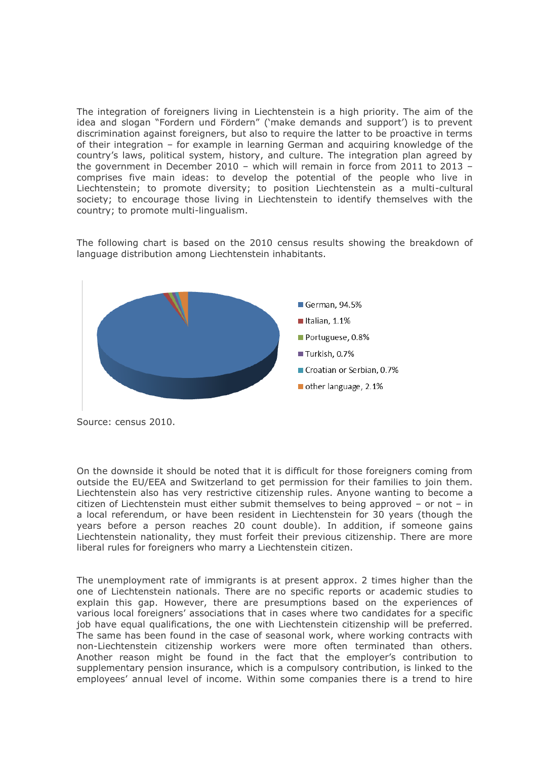The integration of foreigners living in Liechtenstein is a high priority. The aim of the idea and slogan "Fordern und Fördern" ('make demands and support') is to prevent discrimination against foreigners, but also to require the latter to be proactive in terms of their integration – for example in learning German and acquiring knowledge of the country's laws, political system, history, and culture. The integration plan agreed by the government in December 2010 – which will remain in force from 2011 to 2013 – comprises five main ideas: to develop the potential of the people who live in Liechtenstein; to promote diversity; to position Liechtenstein as a multi-cultural society; to encourage those living in Liechtenstein to identify themselves with the country; to promote multi-lingualism.

The following chart is based on the 2010 census results showing the breakdown of language distribution among Liechtenstein inhabitants.



Source: census 2010.

On the downside it should be noted that it is difficult for those foreigners coming from outside the EU/EEA and Switzerland to get permission for their families to join them. Liechtenstein also has very restrictive citizenship rules. Anyone wanting to become a citizen of Liechtenstein must either submit themselves to being approved – or not – in a local referendum, or have been resident in Liechtenstein for 30 years (though the years before a person reaches 20 count double). In addition, if someone gains Liechtenstein nationality, they must forfeit their previous citizenship. There are more liberal rules for foreigners who marry a Liechtenstein citizen.

The unemployment rate of immigrants is at present approx. 2 times higher than the one of Liechtenstein nationals. There are no specific reports or academic studies to explain this gap. However, there are presumptions based on the experiences of various local foreigners' associations that in cases where two candidates for a specific job have equal qualifications, the one with Liechtenstein citizenship will be preferred. The same has been found in the case of seasonal work, where working contracts with non-Liechtenstein citizenship workers were more often terminated than others. Another reason might be found in the fact that the employer's contribution to supplementary pension insurance, which is a compulsory contribution, is linked to the employees' annual level of income. Within some companies there is a trend to hire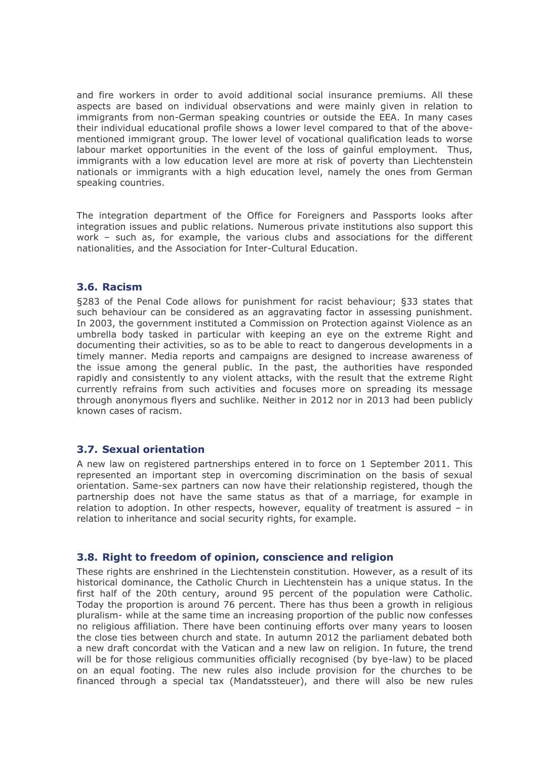and fire workers in order to avoid additional social insurance premiums. All these aspects are based on individual observations and were mainly given in relation to immigrants from non-German speaking countries or outside the EEA. In many cases their individual educational profile shows a lower level compared to that of the abovementioned immigrant group. The lower level of vocational qualification leads to worse labour market opportunities in the event of the loss of gainful employment. Thus, immigrants with a low education level are more at risk of poverty than Liechtenstein nationals or immigrants with a high education level, namely the ones from German speaking countries.

The integration department of the Office for Foreigners and Passports looks after integration issues and public relations. Numerous private institutions also support this work – such as, for example, the various clubs and associations for the different nationalities, and the Association for Inter-Cultural Education.

#### <span id="page-19-0"></span>**3.6. Racism**

§283 of the Penal Code allows for punishment for racist behaviour; §33 states that such behaviour can be considered as an aggravating factor in assessing punishment. In 2003, the government instituted a Commission on Protection against Violence as an umbrella body tasked in particular with keeping an eye on the extreme Right and documenting their activities, so as to be able to react to dangerous developments in a timely manner. Media reports and campaigns are designed to increase awareness of the issue among the general public. In the past, the authorities have responded rapidly and consistently to any violent attacks, with the result that the extreme Right currently refrains from such activities and focuses more on spreading its message through anonymous flyers and suchlike. Neither in 2012 nor in 2013 had been publicly known cases of racism.

### <span id="page-19-1"></span>**3.7. Sexual orientation**

A new law on registered partnerships entered in to force on 1 September 2011. This represented an important step in overcoming discrimination on the basis of sexual orientation. Same-sex partners can now have their relationship registered, though the partnership does not have the same status as that of a marriage, for example in relation to adoption. In other respects, however, equality of treatment is assured – in relation to inheritance and social security rights, for example.

#### <span id="page-19-2"></span>**3.8. Right to freedom of opinion, conscience and religion**

These rights are enshrined in the Liechtenstein constitution. However, as a result of its historical dominance, the Catholic Church in Liechtenstein has a unique status. In the first half of the 20th century, around 95 percent of the population were Catholic. Today the proportion is around 76 percent. There has thus been a growth in religious pluralism- while at the same time an increasing proportion of the public now confesses no religious affiliation. There have been continuing efforts over many years to loosen the close ties between church and state. In autumn 2012 the parliament debated both a new draft concordat with the Vatican and a new law on religion. In future, the trend will be for those religious communities officially recognised (by bye-law) to be placed on an equal footing. The new rules also include provision for the churches to be financed through a special tax (Mandatssteuer), and there will also be new rules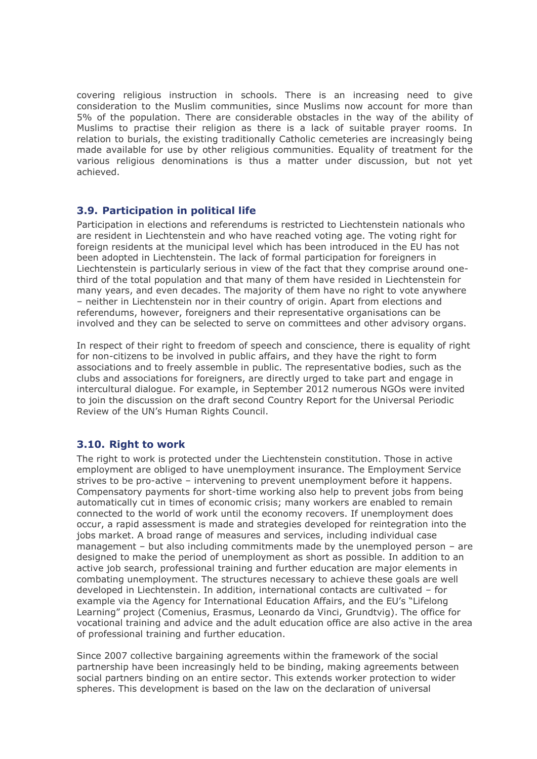covering religious instruction in schools. There is an increasing need to give consideration to the Muslim communities, since Muslims now account for more than 5% of the population. There are considerable obstacles in the way of the ability of Muslims to practise their religion as there is a lack of suitable prayer rooms. In relation to burials, the existing traditionally Catholic cemeteries are increasingly being made available for use by other religious communities. Equality of treatment for the various religious denominations is thus a matter under discussion, but not yet achieved.

# <span id="page-20-0"></span>**3.9. Participation in political life**

Participation in elections and referendums is restricted to Liechtenstein nationals who are resident in Liechtenstein and who have reached voting age. The voting right for foreign residents at the municipal level which has been introduced in the EU has not been adopted in Liechtenstein. The lack of formal participation for foreigners in Liechtenstein is particularly serious in view of the fact that they comprise around onethird of the total population and that many of them have resided in Liechtenstein for many years, and even decades. The majority of them have no right to vote anywhere – neither in Liechtenstein nor in their country of origin. Apart from elections and referendums, however, foreigners and their representative organisations can be involved and they can be selected to serve on committees and other advisory organs.

In respect of their right to freedom of speech and conscience, there is equality of right for non-citizens to be involved in public affairs, and they have the right to form associations and to freely assemble in public. The representative bodies, such as the clubs and associations for foreigners, are directly urged to take part and engage in intercultural dialogue. For example, in September 2012 numerous NGOs were invited to join the discussion on the draft second Country Report for the Universal Periodic Review of the UN's Human Rights Council.

# <span id="page-20-1"></span>**3.10. Right to work**

The right to work is protected under the Liechtenstein constitution. Those in active employment are obliged to have unemployment insurance. The Employment Service strives to be pro-active – intervening to prevent unemployment before it happens. Compensatory payments for short-time working also help to prevent jobs from being automatically cut in times of economic crisis; many workers are enabled to remain connected to the world of work until the economy recovers. If unemployment does occur, a rapid assessment is made and strategies developed for reintegration into the jobs market. A broad range of measures and services, including individual case management – but also including commitments made by the unemployed person – are designed to make the period of unemployment as short as possible. In addition to an active job search, professional training and further education are major elements in combating unemployment. The structures necessary to achieve these goals are well developed in Liechtenstein. In addition, international contacts are cultivated – for example via the Agency for International Education Affairs, and the EU's "Lifelong Learning" project (Comenius, Erasmus, Leonardo da Vinci, Grundtvig). The office for vocational training and advice and the adult education office are also active in the area of professional training and further education.

Since 2007 collective bargaining agreements within the framework of the social partnership have been increasingly held to be binding, making agreements between social partners binding on an entire sector. This extends worker protection to wider spheres. This development is based on the law on the declaration of universal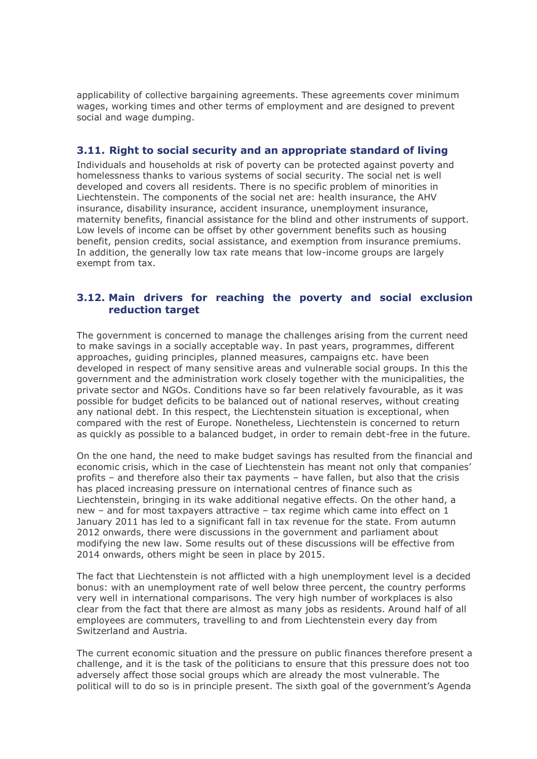applicability of collective bargaining agreements. These agreements cover minimum wages, working times and other terms of employment and are designed to prevent social and wage dumping.

## <span id="page-21-0"></span>**3.11. Right to social security and an appropriate standard of living**

Individuals and households at risk of poverty can be protected against poverty and homelessness thanks to various systems of social security. The social net is well developed and covers all residents. There is no specific problem of minorities in Liechtenstein. The components of the social net are: health insurance, the AHV insurance, disability insurance, accident insurance, unemployment insurance, maternity benefits, financial assistance for the blind and other instruments of support. Low levels of income can be offset by other government benefits such as housing benefit, pension credits, social assistance, and exemption from insurance premiums. In addition, the generally low tax rate means that low-income groups are largely exempt from tax.

# <span id="page-21-1"></span>**3.12. Main drivers for reaching the poverty and social exclusion reduction target**

The government is concerned to manage the challenges arising from the current need to make savings in a socially acceptable way. In past years, programmes, different approaches, guiding principles, planned measures, campaigns etc. have been developed in respect of many sensitive areas and vulnerable social groups. In this the government and the administration work closely together with the municipalities, the private sector and NGOs. Conditions have so far been relatively favourable, as it was possible for budget deficits to be balanced out of national reserves, without creating any national debt. In this respect, the Liechtenstein situation is exceptional, when compared with the rest of Europe. Nonetheless, Liechtenstein is concerned to return as quickly as possible to a balanced budget, in order to remain debt-free in the future.

On the one hand, the need to make budget savings has resulted from the financial and economic crisis, which in the case of Liechtenstein has meant not only that companies' profits – and therefore also their tax payments – have fallen, but also that the crisis has placed increasing pressure on international centres of finance such as Liechtenstein, bringing in its wake additional negative effects. On the other hand, a new – and for most taxpayers attractive – tax regime which came into effect on 1 January 2011 has led to a significant fall in tax revenue for the state. From autumn 2012 onwards, there were discussions in the government and parliament about modifying the new law. Some results out of these discussions will be effective from 2014 onwards, others might be seen in place by 2015.

The fact that Liechtenstein is not afflicted with a high unemployment level is a decided bonus: with an unemployment rate of well below three percent, the country performs very well in international comparisons. The very high number of workplaces is also clear from the fact that there are almost as many jobs as residents. Around half of all employees are commuters, travelling to and from Liechtenstein every day from Switzerland and Austria.

The current economic situation and the pressure on public finances therefore present a challenge, and it is the task of the politicians to ensure that this pressure does not too adversely affect those social groups which are already the most vulnerable. The political will to do so is in principle present. The sixth goal of the government's Agenda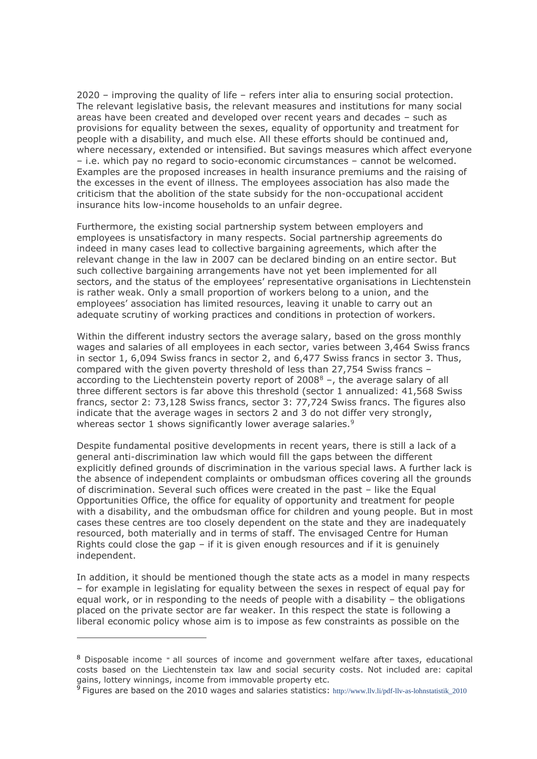2020 – improving the quality of life – refers inter alia to ensuring social protection. The relevant legislative basis, the relevant measures and institutions for many social areas have been created and developed over recent years and decades – such as provisions for equality between the sexes, equality of opportunity and treatment for people with a disability, and much else. All these efforts should be continued and, where necessary, extended or intensified. But savings measures which affect everyone – i.e. which pay no regard to socio-economic circumstances – cannot be welcomed. Examples are the proposed increases in health insurance premiums and the raising of the excesses in the event of illness. The employees association has also made the criticism that the abolition of the state subsidy for the non-occupational accident insurance hits low-income households to an unfair degree.

Furthermore, the existing social partnership system between employers and employees is unsatisfactory in many respects. Social partnership agreements do indeed in many cases lead to collective bargaining agreements, which after the relevant change in the law in 2007 can be declared binding on an entire sector. But such collective bargaining arrangements have not yet been implemented for all sectors, and the status of the employees' representative organisations in Liechtenstein is rather weak. Only a small proportion of workers belong to a union, and the employees' association has limited resources, leaving it unable to carry out an adequate scrutiny of working practices and conditions in protection of workers.

Within the different industry sectors the average salary, based on the gross monthly wages and salaries of all employees in each sector, varies between 3,464 Swiss francs in sector 1, 6,094 Swiss francs in sector 2, and 6,477 Swiss francs in sector 3. Thus, compared with the given poverty threshold of less than 27,754 Swiss francs – according to the Liechtenstein poverty report of  $2008<sup>8</sup>$  –, the average salary of all three different sectors is far above this threshold (sector 1 annualized: 41,568 Swiss francs, sector 2: 73,128 Swiss francs, sector 3: 77,724 Swiss francs. The figures also indicate that the average wages in sectors 2 and 3 do not differ very strongly, whereas sector 1 shows significantly lower average salaries.<sup>9</sup>

Despite fundamental positive developments in recent years, there is still a lack of a general anti-discrimination law which would fill the gaps between the different explicitly defined grounds of discrimination in the various special laws. A further lack is the absence of independent complaints or ombudsman offices covering all the grounds of discrimination. Several such offices were created in the past – like the Equal Opportunities Office, the office for equality of opportunity and treatment for people with a disability, and the ombudsman office for children and young people. But in most cases these centres are too closely dependent on the state and they are inadequately resourced, both materially and in terms of staff. The envisaged Centre for Human Rights could close the gap  $-$  if it is given enough resources and if it is genuinely independent.

In addition, it should be mentioned though the state acts as a model in many respects – for example in legislating for equality between the sexes in respect of equal pay for equal work, or in responding to the needs of people with a disability – the obligations placed on the private sector are far weaker. In this respect the state is following a liberal economic policy whose aim is to impose as few constraints as possible on the

-

<sup>8</sup> Disposable income = all sources of income and government welfare after taxes, educational costs based on the Liechtenstein tax law and social security costs. Not included are: capital gains, lottery winnings, income from immovable property etc.

<sup>9</sup> Figures are based on the 2010 wages and salaries statistics: [http://www.llv.li/pdf-llv-as-lohnstatistik\\_2010](http://www.llv.li/pdf-llv-as-lohnstatistik_2010)